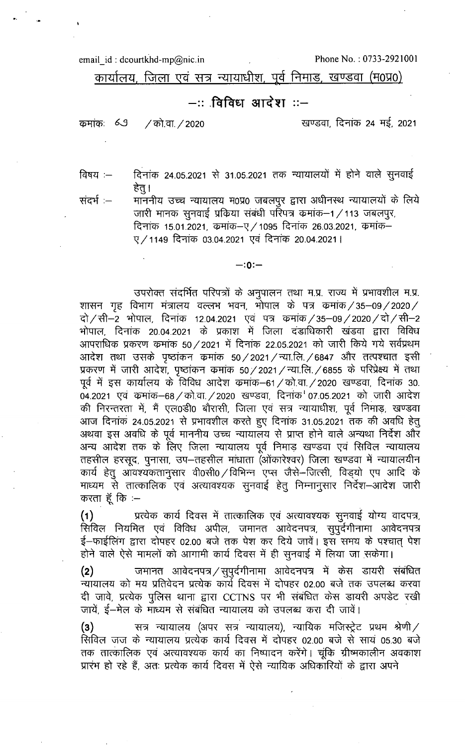email id: dcourtkhd-mp@nic.in

Phone No.: 0733-2921001

कार्यालय, जिला एवं सत्र न्यायाधीश, पूर्व निमाड, खण्डवा (म0प्र0)

## —:: विविध आदेश ::—

कमांकः 69 / को.वा. / 2020 खण्डवा, दिनांक 24 मई, 2021

दिनांक 24.05.2021 से 31.05.2021 तक न्यायालयों में होने वाले सुनवाई विषय $:=$ हेत् ।

संदर्भ :—

माननीय उच्च न्यायालय म0प्र0 जबलपुर द्वारा अधीनस्थ न्यायालयों के लिये जारी मानक सुनवाई प्रकिया संबंधी परिपत्र कमांक–1/113 जबलपुर, दिनांक 15.01.2021, कमांक-ए/1095 दिनांक 26.03.2021, कमांक-ए / 1149 दिनांक 03.04.2021 एवं दिनांक 20.04.2021 |

## $-:0:-$

उपरोक्त संदर्भित परिपत्रों के अनुपालन तथा म.प्र. राज्य में प्रभावशील म.प्र. शासन गृह विभाग मंत्रालय वल्लभ भवन, भोपाल के पत्र क्रमांक/35–09/2020/ दो / सी–2 भोपाल, दिनांक 12.04.2021 एवं पत्र कमांक /35–09 /2020 / दो / सी–2 भोपाल, दिनांक 20.04.2021 के प्रकाश में जिला दंडाधिकारी खंडवा द्वारा विविध आपराधिक प्रकरण कमांक 50 / 2021 में दिनांक 22.05.2021 को जारी किये गये सर्वप्रथम आदेश तथा उसके पृष्ठांकन कमांक 50/2021/न्या.लि./6847 और तत्पश्चात इसी प्रकरण में जारी आदेश, पृष्ठांकन कमांक 50/2021/न्या.लि./6855 के परिप्रेक्ष्य में तथा पूर्व में इस कार्यालय के विविध आदेश क्रमांक–61 / को.वा. / 2020 खण्डवा, दिनांक 30. 04.2021 एवं कमांक-68 / को.वा. / 2020 खण्डवा, दिनांक 07.05.2021 को जारी आदेश की निरन्तरता में, मैं एल0डी0 बौरासी, जिला एवं सत्र न्यायाधीश, पूर्व निमाड़, खण्डवा आज दिनाक 24.05.2021 से प्रभावशील करते हुए दिनांक 31.05.2021 तक की अवधि हेतु अथवा इस अवधि के पूर्व माननीय उच्च न्यायालय से प्राप्त होने वाले अन्यथा निर्देश और अन्य आदेश तक के लिए जिला न्यायालय पूर्व निमाड़ खण्डवा एवं सिविल न्यायालय तहसील हरसुद, पुनासा, उप–तहसील मांधाता (ओंकारेश्वर) जिला खण्डवा में न्यायालयीन कार्य हेतु आवश्यकतानुसार वी0सी0 / विभिन्न एप्स जैसे-जित्सी, विड़यो एप आदि के माध्यम से तात्कालिक एवं अत्यावश्यक सुनवाई हेतू निम्नानुसार निर्देश–आदेश जारी करता हूँ कि :-

 $(1)$ प्रत्येक कार्य दिवस में तात्कालिक एवं अत्यावश्यक सुनवाई योग्य वादपत्र, .<br>सिविल नियमित एवं विविध अपील, जमानत आवेदनपत्र, सुपुर्दगीनामा आवेदनपत्र ई–फाईलिंग द्वारा दोपहर 02.00 बजे तक पेश कर दिये जावें। इस समय के पश्चात् पेश होने वाले ऐसे मामलों को आगामी कार्य दिवस में ही सुनवाई में लिया जा सकेगा।

जमानत आवेदनपत्र / सुपुर्दगीनामा आवेदनपत्र में केस डायरी संबंधित  $(2)$ न्यायालय को मय प्रतिवेदन प्रत्येक कार्य दिवस में दोपहर 02.00 बजे तक उपलब्ध करवा दी जावे, प्रत्येक पुलिस थाना द्वारा CCTNS पर भी संबंधित केस डायरी अपडेट रखी जायें, ई—मेल के माध्यम से संबंधित न्यायालय को उपलब्ध करा दी जावें।

सत्र न्यायालय (अपर सत्र न्यायालय), न्यायिक मजिस्ट्रेट प्रथम श्रेणी $\angle$  $(3)$ सिविल जज के न्यायालय प्रत्येक कार्य दिवस में दोपहर 02.00 बजे से सायं 05.30 बजे तक तात्कालिक एवं अत्यावश्यक कार्य का निष्पादन करेंगे। चूंकि ग्रीष्मकालीन अवकाश प्रारंभ हो रहे हैं, अतः प्रत्येक कार्य दिवस में ऐसे न्यायिक अधिकारियों के द्वारा अपने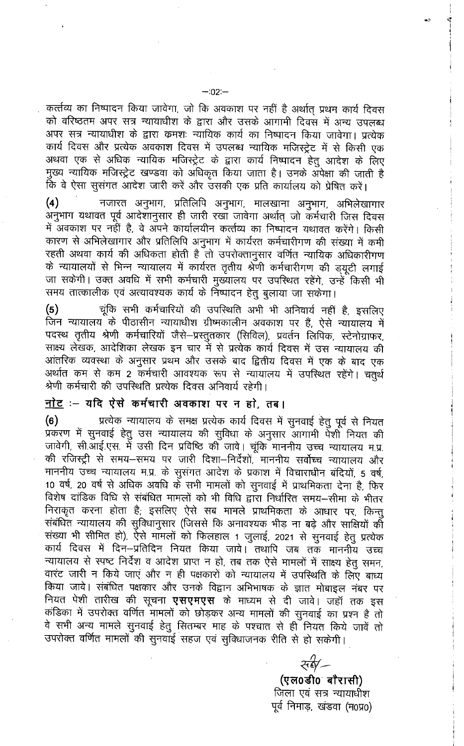कर्त्तव्य का निष्पादन किया जावेगा, जो कि अवकाश पर नहीं है अर्थात् प्रथम कार्य दिवस को वरिष्ठतम अपर सत्र न्यायाधीश के द्वारा और उसके आगामी दिवस में अन्य उपलब्ध अपर सत्र न्यायाधीश के द्वारा क्रमशः न्यायिक कार्य का निष्पादन किया जावेगा। प्रत्येक कार्य दिवस और प्रत्येक अवकाश दिवस में उपलब्ध न्यायिक मजिस्ट्रेट में से किसी एक अथवा एक से अधिक न्यायिक मजिस्ट्रेट के द्वारा कार्य निष्पादन हेतु आदेश के लिए मुख्य न्यायिक मजिस्ट्रेट खण्डवा को अधिकृत किया जाता है। उनके अपेक्षा की जाती है कि वे ऐसा सुसंगत आदेश जारी करें और उसकी एक प्रति कार्यालय को प्रेषित करें।

नजारत अनुभाग, प्रतिलिपि अनुभाग, मालखाना अनुभाग, अभिलेखागार  $(4)$ अनुभाग यथावत पूर्व आदेशानुसार ही जारी रखा जावेगा अर्थात् जो कर्मचारी जिस दिवस में अवकाश पर नहीं है, वे अपने कार्यालयीन कर्त्तव्य का निष्पादन यथावत करेंगे। किसी कारण से अभिलेखागार और प्रतिलिपि अनुभाग में कार्यरत कर्मचारीगण की संख्या में कमी रहती अथवा कार्य की अधिकता होती है तो उपरोक्तानुसार वर्णित न्यायिक अधिकारीगण के न्यायालयों से भिन्न न्यायालय में कार्यरत तृतीय श्रेणी कर्मचारीगण की ड्यूटी लगाई जा सकेगी। उक्त अवधि में सभी कर्मचारी मुख्यालय पर उपस्थित रहेंगे, उन्हें किसी भी समय तात्कालीक एवं अत्यावश्यक कार्य के निष्पादन हेतु बुलाया जा सकेगा।

 $(5)$ चूंकि सभी कर्मचारियों की उपस्थिति अभी भी अनिवार्य नहीं है, इसलिए जिन न्यायालय के पीठासीन न्यायाधीश ग्रीष्मकालीन अवकाश पर हैं, ऐसे न्यायालय में पदस्थ तृतीय श्रेणी कर्मचारियों जैसे-प्रस्तुतकार (सिविल), प्रवर्तन लिपिक, स्टेनोग्राफर, साक्ष्य लेखक, आदेशिका लेखक इन चार में से प्रत्येक कार्य दिवस में उस न्यायालय की आंतरिक व्यवस्था के अनुसार प्रथम और उसके बाद द्वितीय दिवस में एक के बाद एक अर्थात कम से कम 2 कर्मचारी आवश्यक रूप से न्यायालय में उपस्थित रहेंगे। चतुर्थ श्रेणी कर्मचारी की उपस्थिति प्रत्येक दिवस अनिवार्य रहेगी।

## <u>नोट</u> :— यदि ऐसे कर्मचारी अवकाश पर न हो, तब।

प्रत्येक न्यायालय के समक्ष प्रत्येक कार्य दिवस में सुनवाई हेतु पूर्व से नियत  $(6)$ प्रकरण में सुनवाई हेतु उस न्यायालय की सुविधा के अनुसार आगामी पेशी नियत की जावेगी, सी.आई.एस. में उसी दिन प्रविष्ठि की जावे। चूंकि माननीय उच्च न्यायालय म.प्र. की रजिस्ट्री से समय-समय पर जारी दिशा-निर्देशों, माननीय सर्वोच्च न्यायालय और माननीय उच्च न्यायालय म.प्र. के सुसंगत आदेश के प्रकाश में विचाराधीन बंदियों, 5 वर्ष, 10 वर्ष, 20 वर्ष से अधिक अवधि के सभी मामलों को सुनवाई में प्राथमिकता देना है, फिर विशेष दांडिक विधि से संबंधित मामलों को भी विधि द्वारा निर्धारित समय-सीमा के भीतर निराकृत करना होता है; इसलिए ऐसे सब मामले प्राथमिकता के आधार पर, किन्तु संबंधित न्यायालय की सुविधानुसार (जिससे कि अनावश्यक भीड़ ना बढ़े और साक्षियों की संख्या भी सीमित हो), ऐसे मामलों को फिलहाल 1 जुलाई, 2021 से सुनवाई हेतु प्रत्येक कार्य दिवस में दिन–प्रतिदिन नियत किया जावे। तथापि जब तक माननीय उच्च न्यायालय से स्पष्ट निर्देश व आदेश प्राप्त न हो, तब तक ऐसे मामलों में साक्ष्य हेतू समन, वारंट जारी न किये जाएं और न ही पक्षकारों को न्यायालय में उपस्थिति के लिए बाध्य किया जावे। संबंधित पक्षकार और उनके विद्वान अभिभाषक के ज्ञात मोबाइल नंबर पर नियत पेशी तारीख की सूचना **एसएमएस** के माध्यम से दी जावे। जहॉ तक इस कंडिका में उपरोक्त वर्णित मामलों को छोड़कर अन्य मामलों की सुनवाई का प्रश्न है तो वे सभी अन्य मामले सुनवाई हेतु सितम्बर माह के पश्चात से हीँ नियत किये जावें तो उपरोक्त वर्णित मामलों की सुनवाई सहज एवं सुविधाजनक रीति से हो सकेगी।

संबं $\sim$ (एल0डी0 बौरासी)

जिला एवं सत्र न्यायाधीश पूर्व निमाड़, खंडवा (म0प्र0)